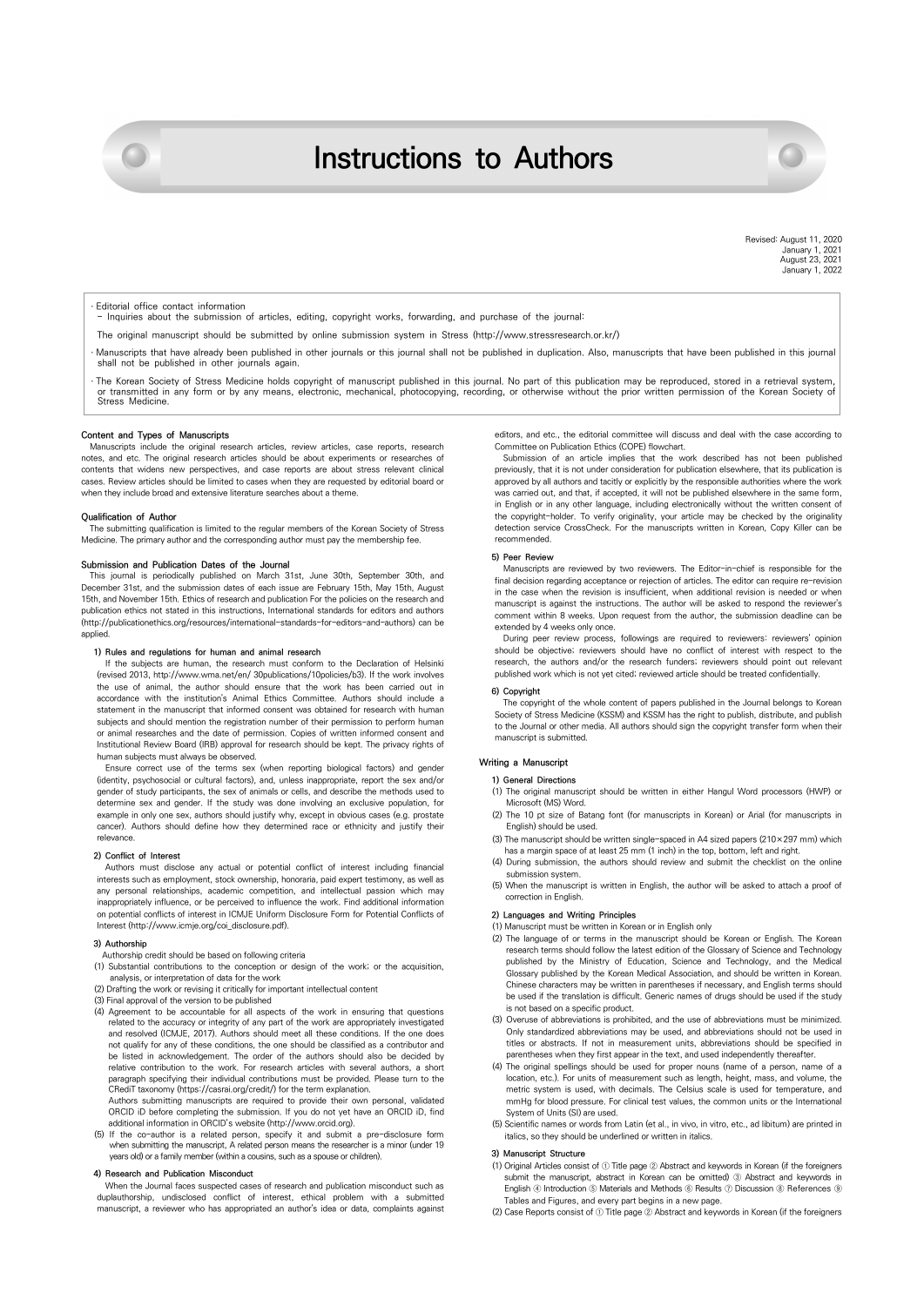# **Instructions to Authors**



#### **Editorial office contact information**

- Inquiries about the submission of articles, editing, copyright works, forwarding, and purchase of the journal:

- The original manuscript should be submitted by online submission system in Stress (http://www.stressresearch.or.kr/)
- Manuscripts that have already been published in other journals or this journal shall not be published in duplication. Also, manuscripts that have been published in this journal shall not be published in other journals again.
- · The Korean Society of Stress Medicine holds copyright of manuscript published in this journal. No part of this publication may be reproduced, stored in a retrieval system,<br>or transmitted in any form or by any means, elec

## **Content and Types of Manuscripts**

Manuscripts include the original research articles, review articles, case reports, research notes, and etc. The original research articles should be about experiments or researches of contents that widens new perspectives, and case reports are about stress relevant clinical cases. Review articles should be limited to cases when they are requested by editorial board or when they include broad and extensive literature searches about a theme.

## **Qualification of Author**

The submitting qualification is limited to the regular members of the Korean Society of Stress Medicine. The primary author and the corresponding author must pay the membership fee.

## **Submission and Publication Dates of the Journal**

This journal is periodically published on March 31st, June 30th, September 30th, and December 31st, and the submission dates of each issue are February 15th, May 15th, August 15th, and November 15th. Ethics of research and publication For the policies on the research and publication ethics not stated in this instructions, International standards for editors and authors (http://publicationethics.org/resources/international-standards-for-editors-and-authors) can be applied

# **1) Rules and regulations for human and animal research**

If the subjects are human, the research must conform to the Declaration of Helsinki (revised 2013, http://www.wma.net/en/ 30publications/10policies/b3). If the work involves the use of animal, the author should ensure that the work has been carried out in accordance with the institution's Animal Ethics Committee. Authors should include a statement in the manuscript that informed consent was obtained for research with human subjects and should mention the registration number of their permission to perform human or animal researches and the date of permission. Copies of written informed consent and Institutional Review Board (IRB) approval for research should be kept. The privacy rights of human subjects must always be observed.

Ensure correct use of the terms sex (when reporting biological factors) and gender (identity, psychosocial or cultural factors), and, unless inappropriate, report the sex and/or gender of study participants, the sex of animals or cells, and describe the methods used to determine sex and gender. If the study was done involving an exclusive population, for example in only one sex, authors should justify why, except in obvious cases (e.g. prostate cancer). Authors should define how they determined race or ethnicity and justify their relevance.

#### **2) Conflict of Interest**

Authors must disclose any actual or potential conflict of interest including financial interests such as employment, stock ownership, honoraria, paid expert testimony, as well as any personal relationships, academic competition, and intellectual passion which may inappropriately influence, or be perceived to influence the work. Find additional information on potential conflicts of interest in ICMJE Uniform Disclosure Form for Potential Conflicts of Interest (http://www.icmje.org/coi\_disclosure.pdf).

## **3) Authorship**

- Authorship credit should be based on following criteria
- (1) Substantial contributions to the conception or design of the work; or the acquisition, analysis, or interpretation of data for the work
- (2) Drafting the work or revising it critically for important intellectual content
- (3) Final approval of the version to be published
- (4) Agreement to be accountable for all aspects of the work in ensuring that questions related to the accuracy or integrity of any part of the work are appropriately investigated and resolved (ICMJE, 2017). Authors should meet all these conditions. If the one does not qualify for any of these conditions, the one should be classified as a contributor and be listed in acknowledgement. The order of the authors should also be decided by relative contribution to the work. For research articles with several authors, a short paragraph specifying their individual contributions must be provided. Please turn to the CRediT taxonomy (https://casrai.org/credit/) for the term explanation. Authors submitting manuscripts are required to provide their own personal, validated

ORCID iD before completing the submission. If you do not yet have an ORCID iD, find additional information in ORCID's website (http://www.orcid.org).

(5) If the co-author is a related person, specify it and submit a pre-disclosure form when submitting the manuscript, A related person means the researcher is a minor (under 19 years old) or a family member (within a cousins, such as a spouse or children).

## **4) Research and Publication Misconduct**

When the Journal faces suspected cases of research and publication misconduct such as duplauthorship, undisclosed conflict of interest, ethical problem with a submitted manuscript, a reviewer who has appropriated an author's idea or data, complaints against

editors, and etc., the editorial committee will discuss and deal with the case according to Committee on Publication Ethics (COPE) flowchart.

Submission of an article implies that the work described has not been published previously, that it is not under consideration for publication elsewhere, that its publication is approved by all authors and tacitly or explicitly by the responsible authorities where the work was carried out, and that, if accepted, it will not be published elsewhere in the same form, in English or in any other language, including electronically without the written consent of the copyright-holder. To verify originality, your article may be checked by the originality detection service CrossCheck. For the manuscripts written in Korean, Copy Killer can be recommended.

#### **5) Peer Review**

Manuscripts are reviewed by two reviewers. The Editor-in-chief is responsible for the final decision regarding acceptance or rejection of articles. The editor can require re-revision in the case when the revision is insufficient, when additional revision is needed or when manuscript is against the instructions. The author will be asked to respond the reviewer's comment within 8 weeks. Upon request from the author, the submission deadline can be extended by 4 weeks only once.

During peer review process, followings are required to reviewers: reviewers' opinion should be objective; reviewers should have no conflict of interest with respect to the research, the authors and/or the research funders; reviewers should point out relevant published work which is not yet cited; reviewed article should be treated confidentially.

#### **6) Copyright**

The copyright of the whole content of papers published in the Journal belongs to Korean Society of Stress Medicine (KSSM) and KSSM has the right to publish, distribute, and publish to the Journal or other media. All authors should sign the copyright transfer form when their manuscript is submitted.

# **Writing a Manuscript**

# **1) General Directions**

- (1) The original manuscript should be written in either Hangul Word processors (HWP) or Microsoft (MS) Word.
- (2) The 10 pt size of Batang font (for manuscripts in Korean) or Arial (for manuscripts in English) should be used.
- (3) The manuscript should be written single-spaced in A4 sized papers (210×297 mm) which has a margin space of at least 25 mm (1 inch) in the top, bottom, left and right.
- (4) During submission, the authors should review and submit the checklist on the online submission system.
- (5) When the manuscript is written in English, the author will be asked to attach a proof of correction in English.

## **2) Languages and Writing Principles**

- (1) Manuscript must be written in Korean or in English only
- (2) The language of or terms in the manuscript should be Korean or English. The Korean research terms should follow the latest edition of the Glossary of Science and Technology published by the Ministry of Education, Science and Technology, and the Medical Glossary published by the Korean Medical Association, and should be written in Korean. Chinese characters may be written in parentheses if necessary, and English terms should be used if the translation is difficult. Generic names of drugs should be used if the study is not based on a specific product.
- (3) Overuse of abbreviations is prohibited, and the use of abbreviations must be minimized. Only standardized abbreviations may be used, and abbreviations should not be used in titles or abstracts. If not in measurement units, abbreviations should be specified in parentheses when they first appear in the text, and used independently thereafter.
- (4) The original spellings should be used for proper nouns (name of a person, name of a location, etc.). For units of measurement such as length, height, mass, and volume, the metric system is used, with decimals. The Celsius scale is used for temperature, and manned pressure. For clinical test values, the common units or the International mmHg for blood pressure. For clinical test values, the common units or the International System of Units (SI) are used.
- (5) Scientific names or words from Latin (et al., in vivo, in vitro, etc., ad libitum) are printed in italics, so they should be underlined or written in italics.

## **3) Manuscript Structure**

- (1) Original Articles consist of ① Title page ② Abstract and keywords in Korean (if the foreigners submit the manuscript, abstract in Korean can be omitted) ③ Abstract and keywords in English ④ Introduction ⑤ Materials and Methods ⑥ Results ⑦ Discussion ⑧ References ⑨ Tables and Figures, and every part begins in a new page.
- (2) Case Reports consist of ① Title page ② Abstract and keywords in Korean (if the foreigners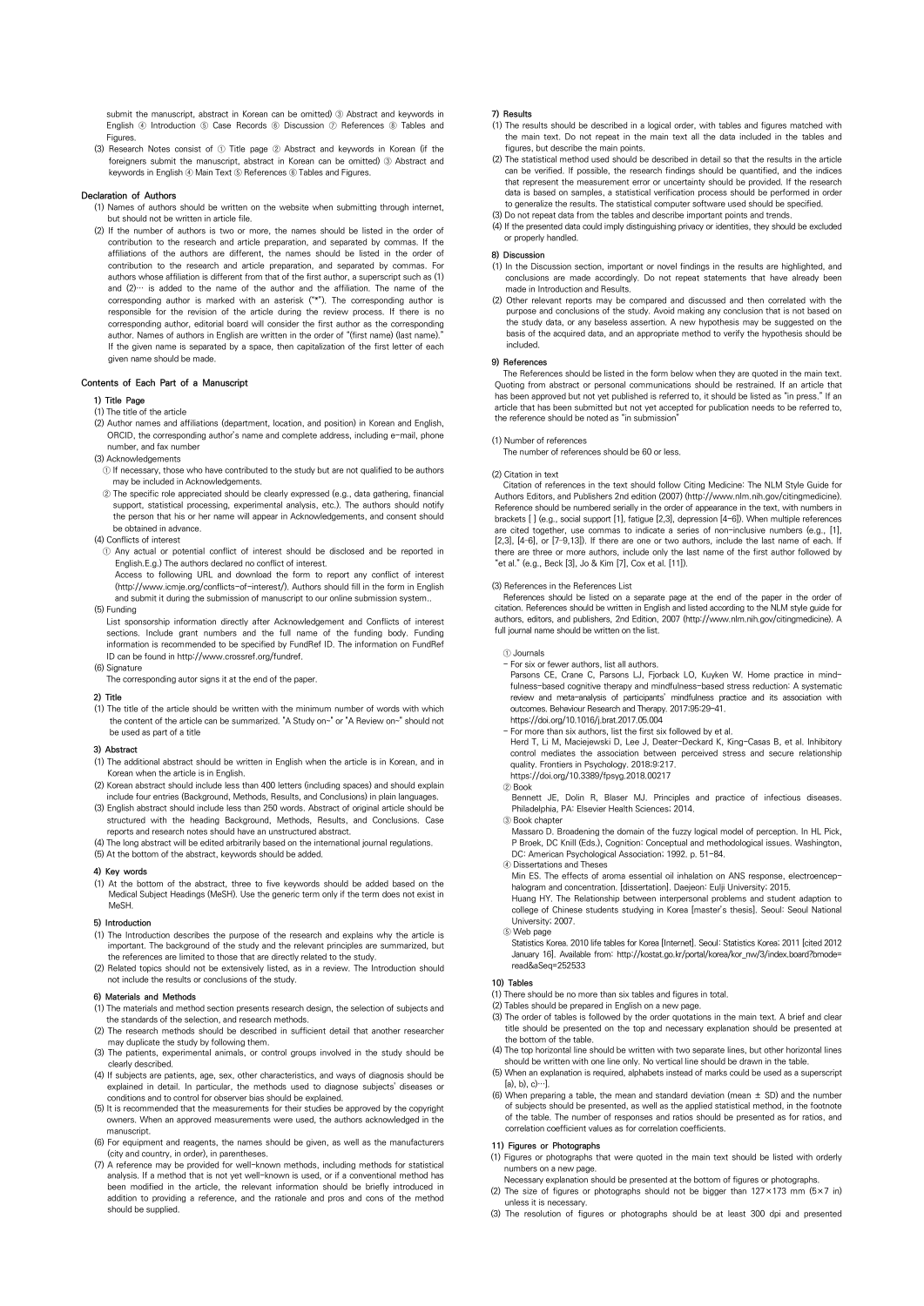submit the manuscript, abstract in Korean can be omitted) ③ Abstract and keywords in English ④ Introduction ⑤ Case Records ⑥ Discussion ⑦ References ⑧ Tables and Figures.

(3) Research Notes consist of ① Title page ② Abstract and keywords in Korean (if the foreigners submit the manuscript, abstract in Korean can be omitted) ③ Abstract and keywords in English 4 Main Text 5 References 6 Tables and Figures.

## **Declaration of Authors**

- (1) Names of authors should be written on the website when submitting through internet, but should not be written in article file.
- (2) If the number of authors is two or more, the names should be listed in the order of contribution to the research and article preparation, and separated by commas. If the affiliations of the authors are different, the names should be listed in the order of contribution to the research and article preparation, and separated by commas. For authors whose affiliation is different from that of the first author, a superscript such as (1) and  $(2)$ … is added to the name of the author and the affiliation. The name of the corresponding author is marked with an asterisk ("\*"). The corresponding author is responsible for the revision of the article during the review process. If there is no corresponding author, editorial board will consider the first author as the corresponding author. Names of authors in English are written in the order of "(first name) (last name) If the given name is separated by a space, then capitalization of the first letter of each given name should be made.

# **Contents of Each Part of a Manuscript**

# **1) Title Page**

- (1) The title of the article
- (2) Author names and affiliations (department, location, and position) in Korean and English, ORCID, the corresponding author's name and complete address, including e-mail, phone number, and fax number
- (3) Acknowledgements
- ① If necessary, those who have contributed to the study but are not qualified to be authors may be included in Acknowledgements.
- ② The specific role appreciated should be clearly expressed (e.g., data gathering, financial support, statistical processing, experimental analysis, etc.). The authors should notify the person that his or her name will appear in Acknowledgements, and consent should be obtained in advance.
- (4) Conflicts of interest
- ① Any actual or potential conflict of interest should be disclosed and be reported in English.E.g.) The authors declared no conflict of interest.

Access to following URL and download the form to report any conflict of interest (http://www.icmje.org/conflicts-of-interest/). Authors should fill in the form in English and submit it during the submission of manuscript to our online submission system.

- (5) Funding
- List sponsorship information directly after Acknowledgement and Conflicts of interest sections. Include grant numbers and the full name of the funding body. Funding information is recommended to be specified by FundRef ID. The information on FundRef ID can be found in http://www.crossref.org/fundref.
- (6) Signature
	- The corresponding autor signs it at the end of the paper.

## **2) Title**

(1) The title of the article should be written with the minimum number of words with which the content of the article can be summarized. "A Study on~" or "A Review on~" should not be used as part of a title

## **3) Abstract**

- (1) The additional abstract should be written in English when the article is in Korean, and in Korean when the article is in English.
- (2) Korean abstract should include less than 400 letters (including spaces) and should explain include four entries (Background, Methods, Results, and Conclusions) in plain languages.
- (3) English abstract should include less than 250 words. Abstract of original article should be structured with the heading Background, Methods, Results, and Conclusions. Case reports and research notes should have an unstructured abstract.
- 
- (4) The long abstract will be edited arbitrarily based on the international journal regulations. (5) At the bottom of the abstract, keywords should be added.

#### **4) Key words**

(1) At the bottom of the abstract, three to five keywords should be added based on the Medical Subject Headings (MeSH). Use the generic term only if the term does not exist in MeSH.

## **5) Introduction**

- (1) The Introduction describes the purpose of the research and explains why the article is important. The background of the study and the relevant principles are summarized, but the references are limited to those that are directly related to the study.
- (2) Related topics should not be extensively listed, as in a review. The Introduction should not include the results or conclusions of the study.

## **6) Materials and Methods**

- (1) The materials and method section presents research design, the selection of subjects and the standards of the selection, and research methods.
- (2) The research methods should be described in sufficient detail that another researcher may duplicate the study by following them.
- (3) The patients, experimental animals, or control groups involved in the study should be clearly described.
- (4) If subjects are patients, age, sex, other characteristics, and ways of diagnosis should be explained in detail. In particular, the methods used to diagnose subjects' diseases or conditions and to control for observer bias should be explained.
- (5) It is recommended that the measurements for their studies be approved by the copyright owners. When an approved measurements were used, the authors acknowledged in the manuscript.
- (6) For equipment and reagents, the names should be given, as well as the manufacturers (city and country, in order), in parentheses.
- (7) A reference may be provided for well-known methods, including methods for statistical analysis. If a method that is not yet well-known is used, or if a conventional method has been modified in the article, the relevant information should be briefly introduced in addition to providing a reference, and the rationale and pros and cons of the method should be supplied.

#### **7) Results**

- (1) The results should be described in a logical order, with tables and figures matched with the main text. Do not repeat in the main text all the data included in the tables and figures, but describe the main points.
- (2) The statistical method used should be described in detail so that the results in the article can be verified. If possible, the research findings should be quantified, and the indices that represent the measurement error or uncertainty should be provided. If the research data is based on samples, a statistical verification process should be performed in order to generalize the results. The statistical computer software used should be specified.
- (3) Do not repeat data from the tables and describe important points and trends. (4) If the presented data could imply distinguishing privacy or identities, they should be excluded or properly handled.

#### **8) Discussion**

- (1) In the Discussion section, important or novel findings in the results are highlighted, and conclusions are made accordingly. Do not repeat statements that have made in Introduction and Results.
- (2) Other relevant reports may be compared and discussed and then correlated with the purpose and conclusions of the study. Avoid making any conclusion that is not based on the study data, or any baseless assertion. A new hypothesis may be suggested on the basis of the acquired data, and an appropriate method to verify the hypothesis should be included.

## **9) References**

The References should be listed in the form below when they are quoted in the main text. Quoting from abstract or personal communications should be restrained. If an article that has been approved but not yet published is referred to, it should be listed as "in press." If an article that has been submitted but not yet accepted for publication needs to be referred to, the reference should be noted as "in submission"

## (1) Number of references

The number of references should be 60 or less.

## (2) Citation in text

Citation of references in the text should follow Citing Medicine: The NLM Style Guide for Authors Editors, and Publishers 2nd edition (2007) (http://www.nlm.nih.gov/citingmedicine). Reference should be numbered serially in the order of appearance in the text, with numbers in brackets [ ] (e.g., social support [1], fatigue [2,3], depression [4-6]). When multiple references are cited together, use commas to indicate a series of non-inclusive numbers (e.g., [1], [2,3], [4–6], or [7–9,13]). If there are one or two authors, include the last name of each. If there are three or more authors, include only the last name of the first author followed by "et al." (e.g., Beck [3], Jo & Kim [7], Cox et al. [11]).

#### (3) References in the References List

References should be listed on a separate page at the end of the paper in the order of citation. References should be written in English and listed according to the NLM style guide for authors, editors, and publishers, 2nd Edition, 2007 (http://www.nlm.nih.gov/citingmedicine). A full journal name should be written on the list.

① Journals

- 
- For six or fewer authors, list all authors. Parsons CE, Crane C, Parsons LJ, Fjorback LO, Kuyken W. Home practice in mindfulness-based cognitive therapy and mindfulness-based stress reduction: A systematic review and meta-analysis of participants' mindfulness practice and its association with outcomes. Behaviour Research and Therapy. 2017;95:29-41. https://doi.org/10.1016/j.brat.2017.05.004
- For more than six authors, list the first six followed by et al.

Herd T, Li M, Maciejewski D, Lee J, Deater-Deckard K, King-Casas B, et al. Inhibitory control mediates the association between perceived stress and secure relationship quality. Frontiers in Psychology. 2018;9:217. https://doi.org/10.3389/fpsyg.2018.00217

- ② Book
- Bennett JE, Dolin R, Blaser MJ. Principles and practice of infectious diseases. Philadelphia, PA: Elsevier Health Sciences; 2014.

③ Book chapter

- Massaro D. Broadening the domain of the fuzzy logical model of perception. In HL Pick,<br>P Broek, DC Knill (Eds.), Cognition: Conceptual and methodological issues. Washington,<br>DC: American Psychological Association; 1992. p.
- ④ Dissertations and Theses
- Min ES. The effects of aroma essential oil inhalation on ANS response, electroencephalogram and concentration. [dissertation]. Daejeon: Eulji University; 2015.

Huang HY. The Relationship between interpersonal problems and student adaption to college of Chinese students studying in Korea [master's thesis]. Seoul: Seoul National University; 2007.

⑤ Web page

Statistics Korea. 2010 life tables for Korea [Internet]. Seoul: Statistics Korea; 2011 [cited 2012 January 16]. Available from: http://kostat.go.kr/portal/korea/kor\_nw/3/index.board?bmode= read&aSeq=252533

#### **10) Tables**

- (1) There should be no more than six tables and figures in total.
- (2) Tables should be prepared in English on a new page.
- (3) The order of tables is followed by the order quotations in the main text. A brief and clear title should be presented on the top and necessary explanation should be presented at the bottom of the table.
- (4) The top horizontal line should be written with two separate lines, but other horizontal lines should be written with one line only. No vertical line should be drawn in the table.
- (5) When an explanation is required, alphabets instead of marks could be used as a superscript  $[a), b), c)$ …].
- (6) When preparing a table, the mean and standard deviation (mean  $\pm$  SD) and the number of subjects should be presented, as well as the applied statistical method, in the footnote of the table. The number of responses and ratios should be presented as for ratios, and correlation coefficient values as for correlation coefficients.

## **11) Figures or Photographs**

- (1) Figures or photographs that were quoted in the main text should be listed with orderly numbers on a new page. Necessary explanation should be presented at the bottom of figures or photographs.
- (2) The size of figures or photographs should not be bigger than 127×173 mm (5×7 in)
- unless it is necessary.
- (3) The resolution of figures or photographs should be at least 300 dpi and presented